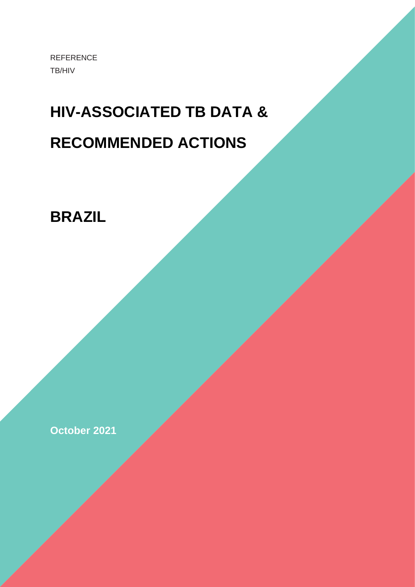REFERENCE TB/HIV

## **HIV-ASSOCIATED TB DATA & RECOMMENDED ACTIONS**

**BRAZIL**

**October 2021**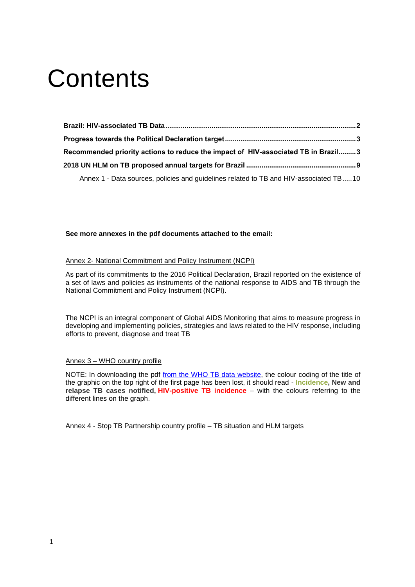# **Contents**

| Recommended priority actions to reduce the impact of HIV-associated TB in Brazil3     |  |
|---------------------------------------------------------------------------------------|--|
|                                                                                       |  |
| Annex 1 - Data sources, policies and guidelines related to TB and HIV-associated TB10 |  |

#### **See more annexes in the pdf documents attached to the email:**

#### Annex 2- National Commitment and Policy Instrument (NCPI)

As part of its commitments to the 2016 Political Declaration, Brazil reported on the existence of a set of laws and policies as instruments of the national response to AIDS and TB through the National Commitment and Policy Instrument (NCPI).

The NCPI is an integral component of Global AIDS Monitoring that aims to measure progress in developing and implementing policies, strategies and laws related to the HIV response, including efforts to prevent, diagnose and treat TB

#### Annex 3 – WHO country profile

NOTE: In downloading the pdf [from the WHO TB data website,](https://worldhealthorg.shinyapps.io/tb_profiles/?_inputs_&entity_type=%22country%22&lan=%22EN%22&iso2=%22AF%22) the colour coding of the title of the graphic on the top right of the first page has been lost, it should read - **Incidence, New and relapse TB cases notified, HIV-positive TB incidence** – with the colours referring to the different lines on the graph.

Annex 4 - Stop TB Partnership country profile – TB situation and HLM targets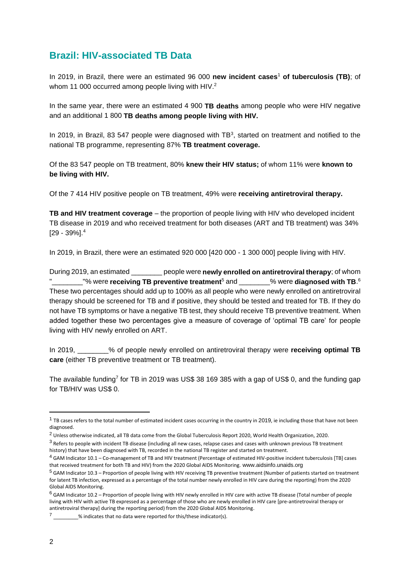## <span id="page-2-0"></span>**Brazil: HIV-associated TB Data**

In 2019, in Brazil, there were an estimated 96 000 **new incident cases**<sup>1</sup> **of tuberculosis (TB)**; of whom 11 000 occurred among people living with HIV.<sup>2</sup>

In the same year, there were an estimated 4 900 **TB deaths** among people who were HIV negative and an additional 1 800 **TB deaths among people living with HIV.**

In 2019, in Brazil, 83 547 people were diagnosed with  $TB<sup>3</sup>$ , started on treatment and notified to the national TB programme, representing 87% **TB treatment coverage.**

Of the 83 547 people on TB treatment, 80% **knew their HIV status;** of whom 11% were **known to be living with HIV.**

Of the 7 414 HIV positive people on TB treatment, 49% were **receiving antiretroviral therapy.**

**TB and HIV treatment coverage** – the proportion of people living with HIV who developed incident TB disease in 2019 and who received treatment for both diseases (ART and TB treatment) was 34% [29 - 39%]. 4

In 2019, in Brazil, there were an estimated 920 000 [420 000 - 1 300 000] people living with HIV.

During 2019, an estimated \_\_\_\_\_\_\_\_ people were **newly enrolled on antiretroviral therapy**; of whom "\_\_\_\_\_\_\_\_"% were **receiving TB preventive treatment**<sup>5</sup> and \_\_\_\_\_\_\_\_% were **diagnosed with TB**. 6 These two percentages should add up to 100% as all people who were newly enrolled on antiretroviral therapy should be screened for TB and if positive, they should be tested and treated for TB. If they do not have TB symptoms or have a negative TB test, they should receive TB preventive treatment. When added together these two percentages give a measure of coverage of 'optimal TB care' for people living with HIV newly enrolled on ART.

In 2019, \_\_\_\_\_\_\_\_% of people newly enrolled on antiretroviral therapy were **receiving optimal TB care** (either TB preventive treatment or TB treatment).

The available funding<sup>7</sup> for TB in 2019 was US\$ 38 169 385 with a gap of US\$ 0, and the funding gap for TB/HIV was US\$ 0.

<sup>&</sup>lt;sup>1</sup> TB cases refers to the total number of estimated incident cases occurring in the country in 2019, ie including those that have not been diagnosed.

<sup>2</sup> Unless otherwise indicated, all TB data come from th[e Global Tuberculosis Report 2020, World Health Organization, 2020.](https://www.who.int/teams/global-tuberculosis-programme/tb-reports/global-tuberculosis-report-2020)

<sup>&</sup>lt;sup>3</sup> Refers to people with incident TB disease (including all new cases, relapse cases and cases with unknown previous TB treatment history) that have been diagnosed with TB, recorded in the national TB register and started on treatment.

<sup>4</sup> GAM Indicator 10.1 – Co-management of TB and HIV treatment (Percentage of estimated HIV-positive incident tuberculosis [TB] cases that received treatment for both TB and HIV) from the 2020 Global AIDS Monitoring. [www.aidsinfo.unaids.org](http://www.aidsinfo.unaids.org/)

<sup>5</sup> GAM Indicator 10.3 – Proportion of people living with HIV receiving TB preventive treatment (Number of patients started on treatment for latent TB infection, expressed as a percentage of the total number newly enrolled in HIV care during the reporting) from the 2020 Global AIDS Monitoring.

<sup>6</sup> GAM Indicator 10.2 – Proportion of people living with HIV newly enrolled in HIV care with active TB disease (Total number of people living with HIV with active TB expressed as a percentage of those who are newly enrolled in HIV care [pre-antiretroviral therapy or antiretroviral therapy] during the reporting period) from the 2020 Global AIDS Monitoring.

 $\%$  indicates that no data were reported for this/these indicator(s).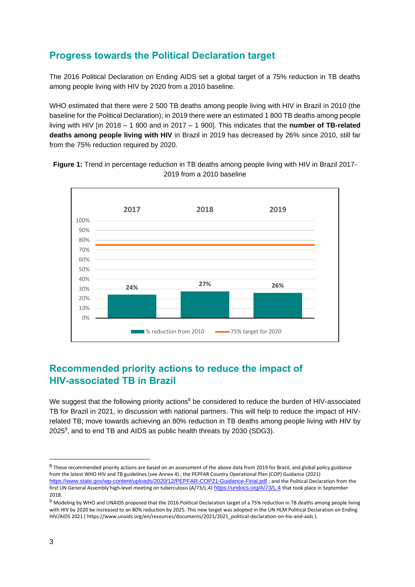## <span id="page-3-0"></span>**Progress towards the Political Declaration target**

The 2016 Political Declaration on Ending AIDS set a global target of a 75% reduction in TB deaths among people living with HIV by 2020 from a 2010 baseline.

WHO estimated that there were 2 500 TB deaths among people living with HIV in Brazil in 2010 (the baseline for the Political Declaration); in 2019 there were an estimated 1 800 TB deaths among people living with HIV [in 2018 – 1 800 and in 2017 – 1 900]. This indicates that the **number of TB-related deaths among people living with HIV** in Brazil in 2019 has decreased by 26% since 2010, still far from the 75% reduction required by 2020.

**Figure 1:** Trend in percentage reduction in TB deaths among people living with HIV in Brazil 2017- 2019 from a 2010 baseline



## <span id="page-3-1"></span>**Recommended priority actions to reduce the impact of HIV-associated TB in Brazil**

We suggest that the following priority actions<sup>8</sup> be considered to reduce the burden of HIV-associated TB for Brazil in 2021, in discussion with national partners. This will help to reduce the impact of HIVrelated TB; move towards achieving an 80% reduction in TB deaths among people living with HIV by 2025 $9$ , and to end TB and AIDS as public health threats by 2030 (SDG3).

 $^8$  These recommended priority actions are based on an assessment of the above data from 2019 for Brazil, and global policy guidance from the latest WHO HIV and TB guidelines (see Annex 4) ; the PEPFAR Country Operational Plan (COP) Guidance (2021) <https://www.state.gov/wp-content/uploads/2020/12/PEPFAR-COP21-Guidance-Final.pdf> ; and the Political Declaration from the first UN General Assembly high-level meeting on tuberculosis (A/73/L.4) <https://undocs.org/A/73/L.4> that took place in September 2018.

<sup>9</sup> Modeling by WHO and UNAIDS proposed that the 2016 Political Declaration target of a 75% reduction in TB deaths among people living with HIV by 2020 be increased to an 80% reduction by 2025. This new target was adopted in the UN HLM Political Declaration on Ending HIV/AIDS 2021 ( https://www.unaids.org/en/resources/documents/2021/2021\_political-declaration-on-hiv-and-aids ).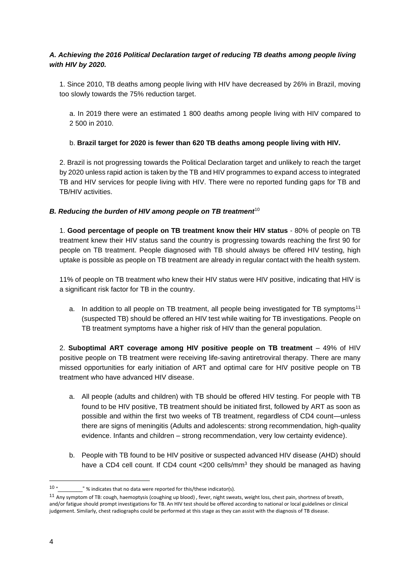#### *A. Achieving the 2016 Political Declaration target of reducing TB deaths among people living with HIV by 2020.*

1. Since 2010, TB deaths among people living with HIV have decreased by 26% in Brazil, moving too slowly towards the 75% reduction target.

a. In 2019 there were an estimated 1 800 deaths among people living with HIV compared to 2 500 in 2010.

#### b. **Brazil target for 2020 is fewer than 620 TB deaths among people living with HIV.**

2. Brazil is not progressing towards the Political Declaration target and unlikely to reach the target by 2020 unless rapid action is taken by the TB and HIV programmes to expand access to integrated TB and HIV services for people living with HIV. There were no reported funding gaps for TB and TB/HIV activities.

#### *B. Reducing the burden of HIV among people on TB treatment***<sup>10</sup>**

1. **Good percentage of people on TB treatment know their HIV status** - 80% of people on TB treatment knew their HIV status sand the country is progressing towards reaching the first 90 for people on TB treatment. People diagnosed with TB should always be offered HIV testing, high uptake is possible as people on TB treatment are already in regular contact with the health system.

11% of people on TB treatment who knew their HIV status were HIV positive, indicating that HIV is a significant risk factor for TB in the country.

a. In addition to all people on TB treatment, all people being investigated for TB symptoms<sup>11</sup> (suspected TB) should be offered an HIV test while waiting for TB investigations. People on TB treatment symptoms have a higher risk of HIV than the general population.

2. **Suboptimal ART coverage among HIV positive people on TB treatment** – 49% of HIV positive people on TB treatment were receiving life-saving antiretroviral therapy. There are many missed opportunities for early initiation of ART and optimal care for HIV positive people on TB treatment who have advanced HIV disease.

- a. All people (adults and children) with TB should be offered HIV testing. For people with TB found to be HIV positive, TB treatment should be initiated first, followed by ART as soon as possible and within the first two weeks of TB treatment, regardless of CD4 count—unless there are signs of meningitis (Adults and adolescents: strong recommendation, high-quality evidence. Infants and children – strong recommendation, very low certainty evidence).
- b. People with TB found to be HIV positive or suspected advanced HIV disease (AHD) should have a CD4 cell count. If CD4 count <200 cells/mm<sup>3</sup> they should be managed as having

 $10 u$ "\_\_\_\_\_\_\_\_" % indicates that no data were reported for this/these indicator(s).

<sup>&</sup>lt;sup>11</sup> Any symptom of TB: cough, haemoptysis (coughing up blood), fever, night sweats, weight loss, chest pain, shortness of breath, and/or fatigue should prompt investigations for TB. An HIV test should be offered according to national or local guidelines or clinical judgement. Similarly, chest radiographs could be performed at this stage as they can assist with the diagnosis of TB disease.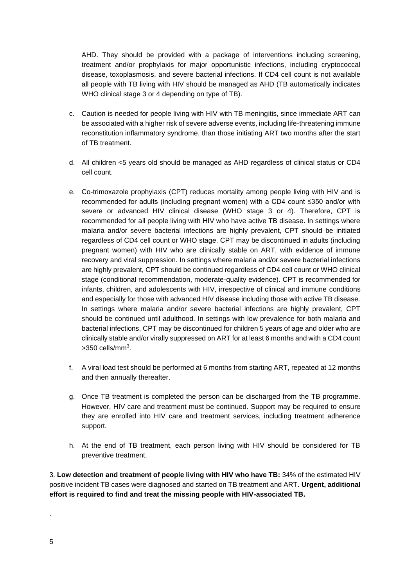AHD. They should be provided with a package of interventions including screening, treatment and/or prophylaxis for major opportunistic infections, including cryptococcal disease, toxoplasmosis, and severe bacterial infections. If CD4 cell count is not available all people with TB living with HIV should be managed as AHD (TB automatically indicates WHO clinical stage 3 or 4 depending on type of TB).

- c. Caution is needed for people living with HIV with TB meningitis, since immediate ART can be associated with a higher risk of severe adverse events, including life-threatening immune reconstitution inflammatory syndrome, than those initiating ART two months after the start of TB treatment.
- d. All children <5 years old should be managed as AHD regardless of clinical status or CD4 cell count.
- e. Co-trimoxazole prophylaxis (CPT) reduces mortality among people living with HIV and is recommended for adults (including pregnant women) with a CD4 count ≤350 and/or with severe or advanced HIV clinical disease (WHO stage 3 or 4). Therefore, CPT is recommended for all people living with HIV who have active TB disease. In settings where malaria and/or severe bacterial infections are highly prevalent, CPT should be initiated regardless of CD4 cell count or WHO stage. CPT may be discontinued in adults (including pregnant women) with HIV who are clinically stable on ART, with evidence of immune recovery and viral suppression. In settings where malaria and/or severe bacterial infections are highly prevalent, CPT should be continued regardless of CD4 cell count or WHO clinical stage (conditional recommendation, moderate-quality evidence). CPT is recommended for infants, children, and adolescents with HIV, irrespective of clinical and immune conditions and especially for those with advanced HIV disease including those with active TB disease. In settings where malaria and/or severe bacterial infections are highly prevalent, CPT should be continued until adulthood. In settings with low prevalence for both malaria and bacterial infections, CPT may be discontinued for children 5 years of age and older who are clinically stable and/or virally suppressed on ART for at least 6 months and with a CD4 count  $>$ 350 cells/mm $3$ .
- f. A viral load test should be performed at 6 months from starting ART, repeated at 12 months and then annually thereafter.
- g. Once TB treatment is completed the person can be discharged from the TB programme. However, HIV care and treatment must be continued. Support may be required to ensure they are enrolled into HIV care and treatment services, including treatment adherence support.
- h. At the end of TB treatment, each person living with HIV should be considered for TB preventive treatment.

3. **Low detection and treatment of people living with HIV who have TB:** 34% of the estimated HIV positive incident TB cases were diagnosed and started on TB treatment and ART. **Urgent, additional effort is required to find and treat the missing people with HIV-associated TB.**

.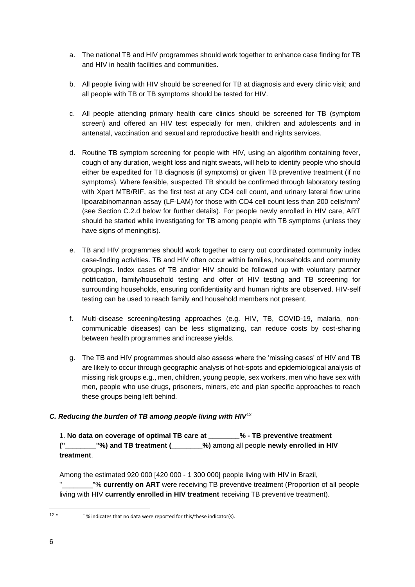- a. The national TB and HIV programmes should work together to enhance case finding for TB and HIV in health facilities and communities.
- b. All people living with HIV should be screened for TB at diagnosis and every clinic visit; and all people with TB or TB symptoms should be tested for HIV.
- c. All people attending primary health care clinics should be screened for TB (symptom screen) and offered an HIV test especially for men, children and adolescents and in antenatal, vaccination and sexual and reproductive health and rights services.
- d. Routine TB symptom screening for people with HIV, using an algorithm containing fever, cough of any duration, weight loss and night sweats, will help to identify people who should either be expedited for TB diagnosis (if symptoms) or given TB preventive treatment (if no symptoms). Where feasible, suspected TB should be confirmed through laboratory testing with Xpert MTB/RIF, as the first test at any CD4 cell count, and urinary lateral flow urine lipoarabinomannan assay (LF-LAM) for those with CD4 cell count less than 200 cells/mm<sup>3</sup> (see Section C.2.d below for further details). For people newly enrolled in HIV care, ART should be started while investigating for TB among people with TB symptoms (unless they have signs of meningitis).
- e. TB and HIV programmes should work together to carry out coordinated community index case-finding activities. TB and HIV often occur within families, households and community groupings. Index cases of TB and/or HIV should be followed up with voluntary partner notification, family/household testing and offer of HIV testing and TB screening for surrounding households, ensuring confidentiality and human rights are observed. HIV-self testing can be used to reach family and household members not present.
- f. Multi-disease screening/testing approaches (e.g. HIV, TB, COVID-19, malaria, noncommunicable diseases) can be less stigmatizing, can reduce costs by cost-sharing between health programmes and increase yields.
- g. The TB and HIV programmes should also assess where the 'missing cases' of HIV and TB are likely to occur through geographic analysis of hot-spots and epidemiological analysis of missing risk groups e.g., men, children, young people, sex workers, men who have sex with men, people who use drugs, prisoners, miners, etc and plan specific approaches to reach these groups being left behind.

#### *C. Reducing the burden of TB among people living with HIV*<sup>12</sup>

1. **No data on coverage of optimal TB care at \_\_\_\_\_\_\_\_% - TB preventive treatment ("\_\_\_\_\_\_\_\_"%) and TB treatment (\_\_\_\_\_\_\_\_%)** among all people **newly enrolled in HIV treatment**.

Among the estimated 920 000 [420 000 - 1 300 000] people living with HIV in Brazil, "\_\_\_\_\_\_\_\_"% **currently on ART** were receiving TB preventive treatment (Proportion of all people living with HIV **currently enrolled in HIV treatment** receiving TB preventive treatment).

 $12 u$  $\equiv$  " % indicates that no data were reported for this/these indicator(s).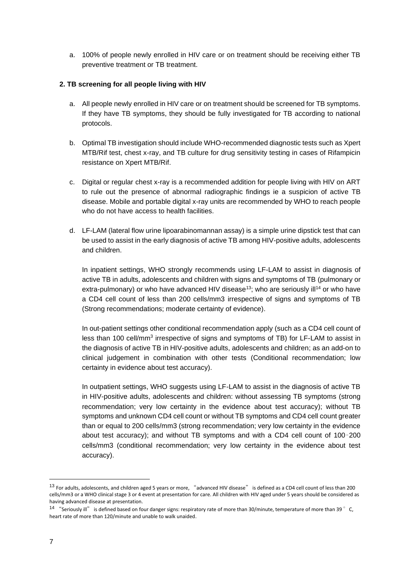a. 100% of people newly enrolled in HIV care or on treatment should be receiving either TB preventive treatment or TB treatment.

#### **2. TB screening for all people living with HIV**

- a. All people newly enrolled in HIV care or on treatment should be screened for TB symptoms. If they have TB symptoms, they should be fully investigated for TB according to national protocols.
- b. Optimal TB investigation should include WHO-recommended diagnostic tests such as Xpert MTB/Rif test, chest x-ray, and TB culture for drug sensitivity testing in cases of Rifampicin resistance on Xpert MTB/Rif.
- c. Digital or regular chest x-ray is a recommended addition for people living with HIV on ART to rule out the presence of abnormal radiographic findings ie a suspicion of active TB disease. Mobile and portable digital x-ray units are recommended by WHO to reach people who do not have access to health facilities.
- d. LF-LAM (lateral flow urine lipoarabinomannan assay) is a simple urine dipstick test that can be used to assist in the early diagnosis of active TB among HIV-positive adults, adolescents and children.

In inpatient settings, WHO strongly recommends using LF-LAM to assist in diagnosis of active TB in adults, adolescents and children with signs and symptoms of TB (pulmonary or extra-pulmonary) or who have advanced HIV disease<sup>13</sup>; who are seriously ill<sup>14</sup> or who have a CD4 cell count of less than 200 cells/mm3 irrespective of signs and symptoms of TB (Strong recommendations; moderate certainty of evidence).

In out-patient settings other conditional recommendation apply (such as a CD4 cell count of less than 100 cell/mm<sup>3</sup> irrespective of signs and symptoms of TB) for LF-LAM to assist in the diagnosis of active TB in HIV-positive adults, adolescents and children; as an add-on to clinical judgement in combination with other tests (Conditional recommendation; low certainty in evidence about test accuracy).

In outpatient settings, WHO suggests using LF-LAM to assist in the diagnosis of active TB in HIV-positive adults, adolescents and children: without assessing TB symptoms (strong recommendation; very low certainty in the evidence about test accuracy); without TB symptoms and unknown CD4 cell count or without TB symptoms and CD4 cell count greater than or equal to 200 cells/mm3 (strong recommendation; very low certainty in the evidence about test accuracy); and without TB symptoms and with a CD4 cell count of 100–200 cells/mm3 (conditional recommendation; very low certainty in the evidence about test accuracy).

<sup>&</sup>lt;sup>13</sup> For adults, adolescents, and children aged 5 years or more, "advanced HIV disease" is defined as a CD4 cell count of less than 200 cells/mm3 or a WHO clinical stage 3 or 4 event at presentation for care. All children with HIV aged under 5 years should be considered as having advanced disease at presentation.

<sup>&</sup>lt;sup>14</sup> "Seriously ill" is defined based on four danger signs: respiratory rate of more than 30/minute, temperature of more than 39  $^{\circ}$  C. heart rate of more than 120/minute and unable to walk unaided.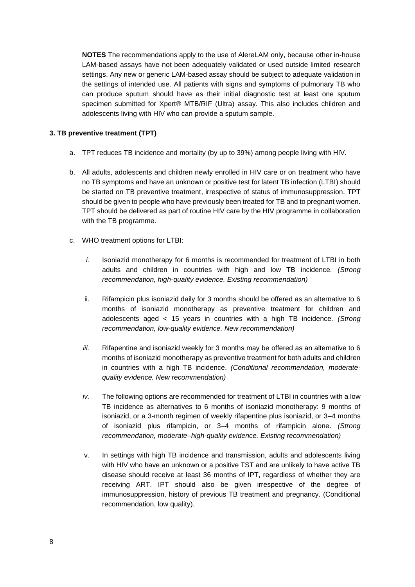**NOTES** The recommendations apply to the use of AlereLAM only, because other in-house LAM-based assays have not been adequately validated or used outside limited research settings. Any new or generic LAM-based assay should be subject to adequate validation in the settings of intended use. All patients with signs and symptoms of pulmonary TB who can produce sputum should have as their initial diagnostic test at least one sputum specimen submitted for Xpert® MTB/RIF (Ultra) assay. This also includes children and adolescents living with HIV who can provide a sputum sample.

#### **3. TB preventive treatment (TPT)**

- a. TPT reduces TB incidence and mortality (by up to 39%) among people living with HIV.
- b. All adults, adolescents and children newly enrolled in HIV care or on treatment who have no TB symptoms and have an unknown or positive test for latent TB infection (LTBI) should be started on TB preventive treatment, irrespective of status of immunosuppression. TPT should be given to people who have previously been treated for TB and to pregnant women. TPT should be delivered as part of routine HIV care by the HIV programme in collaboration with the TB programme.
- c. WHO treatment options for LTBI:
	- *i.* Isoniazid monotherapy for 6 months is recommended for treatment of LTBI in both adults and children in countries with high and low TB incidence. *(Strong recommendation, high-quality evidence. Existing recommendation)*
	- ii. Rifampicin plus isoniazid daily for 3 months should be offered as an alternative to 6 months of isoniazid monotherapy as preventive treatment for children and adolescents aged < 15 years in countries with a high TB incidence. *(Strong recommendation, low-quality evidence. New recommendation)*
	- *iii.* Rifapentine and isoniazid weekly for 3 months may be offered as an alternative to 6 months of isoniazid monotherapy as preventive treatment for both adults and children in countries with a high TB incidence. *(Conditional recommendation, moderatequality evidence. New recommendation)*
	- *iv.* The following options are recommended for treatment of LTBI in countries with a low TB incidence as alternatives to 6 months of isoniazid monotherapy: 9 months of isoniazid, or a 3-month regimen of weekly rifapentine plus isoniazid, or 3–4 months of isoniazid plus rifampicin, or 3–4 months of rifampicin alone. *(Strong recommendation, moderate–high-quality evidence. Existing recommendation)*
	- v. In settings with high TB incidence and transmission, adults and adolescents living with HIV who have an unknown or a positive TST and are unlikely to have active TB disease should receive at least 36 months of IPT, regardless of whether they are receiving ART. IPT should also be given irrespective of the degree of immunosuppression, history of previous TB treatment and pregnancy. (Conditional recommendation, low quality).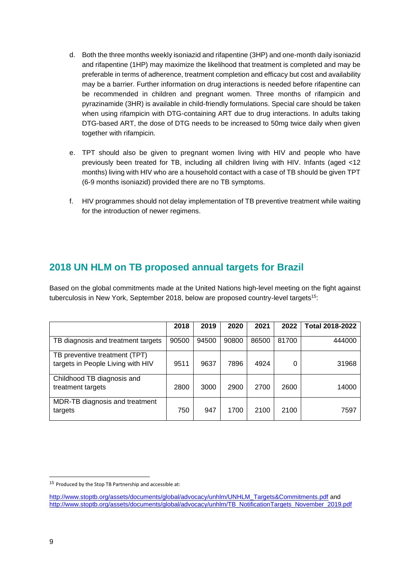- d. Both the three months weekly isoniazid and rifapentine (3HP) and one-month daily isoniazid and rifapentine (1HP) may maximize the likelihood that treatment is completed and may be preferable in terms of adherence, treatment completion and efficacy but cost and availability may be a barrier. Further information on drug interactions is needed before rifapentine can be recommended in children and pregnant women. Three months of rifampicin and pyrazinamide (3HR) is available in child-friendly formulations. Special care should be taken when using rifampicin with DTG-containing ART due to drug interactions. In adults taking DTG-based ART, the dose of DTG needs to be increased to 50mg twice daily when given together with rifampicin.
- e. TPT should also be given to pregnant women living with HIV and people who have previously been treated for TB, including all children living with HIV. Infants (aged <12 months) living with HIV who are a household contact with a case of TB should be given TPT (6-9 months isoniazid) provided there are no TB symptoms.
- f. HIV programmes should not delay implementation of TB preventive treatment while waiting for the introduction of newer regimens.

### <span id="page-9-0"></span>**2018 UN HLM on TB proposed annual targets for Brazil**

Based on the global commitments made at the United Nations high-level meeting on the fight against tuberculosis in New York, September 2018, below are proposed country-level targets<sup>15</sup>:

|                                                                    | 2018  | 2019  | 2020  | 2021  | 2022  | <b>Total 2018-2022</b> |
|--------------------------------------------------------------------|-------|-------|-------|-------|-------|------------------------|
| TB diagnosis and treatment targets                                 | 90500 | 94500 | 90800 | 86500 | 81700 | 444000                 |
| TB preventive treatment (TPT)<br>targets in People Living with HIV | 9511  | 9637  | 7896  | 4924  | 0     | 31968                  |
| Childhood TB diagnosis and<br>treatment targets                    | 2800  | 3000  | 2900  | 2700  | 2600  | 14000                  |
| MDR-TB diagnosis and treatment<br>targets                          | 750   | 947   | 1700  | 2100  | 2100  | 7597                   |

<sup>15</sup> Produced by the Stop TB Partnership and accessible at:

[http://www.stoptb.org/assets/documents/global/advocacy/unhlm/UNHLM\\_Targets&Commitments.pdf](http://www.stoptb.org/assets/documents/global/advocacy/unhlm/UNHLM_Targets&Commitments.pdf) and [http://www.stoptb.org/assets/documents/global/advocacy/unhlm/TB\\_NotificationTargets\\_November\\_2019.pdf](http://www.stoptb.org/assets/documents/global/advocacy/unhlm/TB_NotificationTargets_November_2019.pdf)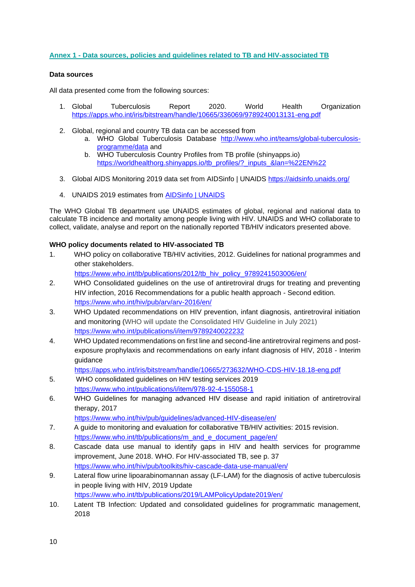#### <span id="page-10-0"></span>**Annex 1 - Data sources, policies and guidelines related to TB and HIV-associated TB**

#### **Data sources**

All data presented come from the following sources:

- 1. Global Tuberculosis Report 2020. World Health Organization <https://apps.who.int/iris/bitstream/handle/10665/336069/9789240013131-eng.pdf>
- 2. Global, regional and country TB data can be accessed from
	- a. WHO Global Tuberculosis Database [http://www.who.int/teams/global-tuberculosis](http://www.who.int/teams/global-tuberculosis-programme/data)[programme/data](http://www.who.int/teams/global-tuberculosis-programme/data) and
	- b. WHO Tuberculosis Country Profiles from TB profile (shinyapps.io) [https://worldhealthorg.shinyapps.io/tb\\_profiles/?\\_inputs\\_&lan=%22EN%22](https://worldhealthorg.shinyapps.io/tb_profiles/?_inputs_&lan=%22EN%22)
- 3. Global AIDS Monitoring 2019 data set from AIDSinfo | UNAIDS <https://aidsinfo.unaids.org/>
- 4. UNAIDS 2019 estimates from [AIDSinfo | UNAIDS](https://aidsinfo.unaids.org/)

The WHO Global TB department use UNAIDS estimates of global, regional and national data to calculate TB incidence and mortality among people living with HIV. UNAIDS and WHO collaborate to collect, validate, analyse and report on the nationally reported TB/HIV indicators presented above.

#### **WHO policy documents related to HIV-associated TB**

1. WHO policy on collaborative TB/HIV activities, 2012. Guidelines for national programmes and other stakeholders.

[https://www.who.int/tb/publications/2012/tb\\_hiv\\_policy\\_9789241503006/en/](https://www.who.int/tb/publications/2012/tb_hiv_policy_9789241503006/en/)

- 2. WHO Consolidated guidelines on the use of antiretroviral drugs for treating and preventing HIV infection, 2016 Recommendations for a public health approach - Second edition. <https://www.who.int/hiv/pub/arv/arv-2016/en/>
- 3. WHO Updated recommendations on HIV prevention, infant diagnosis, antiretroviral initiation and monitoring (WHO will update the Consolidated HIV Guideline in July 2021) <https://www.who.int/publications/i/item/9789240022232>
- 4. WHO Updated recommendations on first line and second-line antiretroviral regimens and postexposure prophylaxis and recommendations on early infant diagnosis of HIV, 2018 - Interim guidance

<https://apps.who.int/iris/bitstream/handle/10665/273632/WHO-CDS-HIV-18.18-eng.pdf>

- 5. WHO consolidated guidelines on HIV testing services 2019 <https://www.who.int/publications/i/item/978-92-4-155058-1>
- 6. WHO Guidelines for managing advanced HIV disease and rapid initiation of antiretroviral therapy, 2017

<https://www.who.int/hiv/pub/guidelines/advanced-HIV-disease/en/>

- 7. A guide to monitoring and evaluation for collaborative TB/HIV activities: 2015 revision. [https://www.who.int/tb/publications/m\\_and\\_e\\_document\\_page/en/](https://www.who.int/tb/publications/m_and_e_document_page/en/)
- 8. Cascade data use manual to identify gaps in HIV and health services for programme improvement, June 2018. WHO. For HIV-associated TB, see p. 37 <https://www.who.int/hiv/pub/toolkits/hiv-cascade-data-use-manual/en/>
- 9. Lateral flow urine lipoarabinomannan assay (LF-LAM) for the diagnosis of active tuberculosis in people living with HIV, 2019 Update <https://www.who.int/tb/publications/2019/LAMPolicyUpdate2019/en/>
- 10. Latent TB Infection: Updated and consolidated guidelines for programmatic management, 2018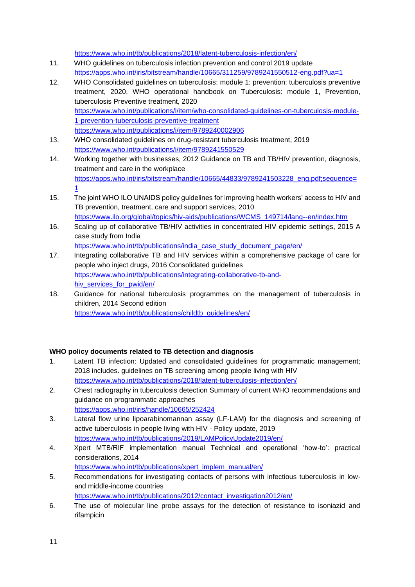<https://www.who.int/tb/publications/2018/latent-tuberculosis-infection/en/>

- 11. WHO guidelines on tuberculosis infection prevention and control 2019 update <https://apps.who.int/iris/bitstream/handle/10665/311259/9789241550512-eng.pdf?ua=1>
- 12. WHO Consolidated guidelines on tuberculosis: module 1: prevention: tuberculosis preventive treatment, 2020, WHO operational handbook on Tuberculosis: module 1, Prevention, tuberculosis Preventive treatment, 2020 [https://www.who.int/publications/i/item/who-consolidated-guidelines-on-tuberculosis-module-](https://www.who.int/publications/i/item/who-consolidated-guidelines-on-tuberculosis-module-1-prevention-tuberculosis-preventive-treatment)[1-prevention-tuberculosis-preventive-treatment](https://www.who.int/publications/i/item/who-consolidated-guidelines-on-tuberculosis-module-1-prevention-tuberculosis-preventive-treatment) <https://www.who.int/publications/i/item/9789240002906>
- 13. WHO consolidated guidelines on drug-resistant tuberculosis treatment, 2019 <https://www.who.int/publications/i/item/9789241550529>
- 14. Working together with businesses, 2012 Guidance on TB and TB/HIV prevention, diagnosis, treatment and care in the workplace [https://apps.who.int/iris/bitstream/handle/10665/44833/9789241503228\\_eng.pdf;sequence=](https://apps.who.int/iris/bitstream/handle/10665/44833/9789241503228_eng.pdf;sequence=1) [1](https://apps.who.int/iris/bitstream/handle/10665/44833/9789241503228_eng.pdf;sequence=1)
- 15. The joint WHO ILO UNAIDS policy guidelines for improving health workers' access to HIV and TB prevention, treatment, care and support services, 2010 [https://www.ilo.org/global/topics/hiv-aids/publications/WCMS\\_149714/lang--en/index.htm](https://www.ilo.org/global/topics/hiv-aids/publications/WCMS_149714/lang--en/index.htm)
- 16. Scaling up of collaborative TB/HIV activities in concentrated HIV epidemic settings, 2015 A case study from India
- [https://www.who.int/tb/publications/india\\_case\\_study\\_document\\_page/en/](https://www.who.int/tb/publications/india_case_study_document_page/en/) 17. Integrating collaborative TB and HIV services within a comprehensive package of care for people who inject drugs, 2016 Consolidated guidelines [https://www.who.int/tb/publications/integrating-collaborative-tb-and-](https://www.who.int/tb/publications/integrating-collaborative-tb-and-hiv_services_for_pwid/en/)

[hiv\\_services\\_for\\_pwid/en/](https://www.who.int/tb/publications/integrating-collaborative-tb-and-hiv_services_for_pwid/en/)

18. Guidance for national tuberculosis programmes on the management of tuberculosis in children, 2014 Second edition

[https://www.who.int/tb/publications/childtb\\_guidelines/en/](https://www.who.int/tb/publications/childtb_guidelines/en/)

#### **WHO policy documents related to TB detection and diagnosis**

- 1. Latent TB infection: Updated and consolidated guidelines for programmatic management; 2018 includes. guidelines on TB screening among people living with HIV <https://www.who.int/tb/publications/2018/latent-tuberculosis-infection/en/>
- 2. Chest radiography in tuberculosis detection Summary of current WHO recommendations and guidance on programmatic approaches <https://apps.who.int/iris/handle/10665/252424>
- 3. Lateral flow urine lipoarabinomannan assay (LF-LAM) for the diagnosis and screening of active tuberculosis in people living with HIV - Policy update, 2019 <https://www.who.int/tb/publications/2019/LAMPolicyUpdate2019/en/>
- 4. Xpert MTB/RIF implementation manual Technical and operational 'how-to': practical considerations, 2014
	- [https://www.who.int/tb/publications/xpert\\_implem\\_manual/en/](https://www.who.int/tb/publications/xpert_implem_manual/en/)
- 5. Recommendations for investigating contacts of persons with infectious tuberculosis in lowand middle-income countries [https://www.who.int/tb/publications/2012/contact\\_investigation2012/en/](https://www.who.int/tb/publications/2012/contact_investigation2012/en/)
- 6. The use of molecular line probe assays for the detection of resistance to isoniazid and rifampicin